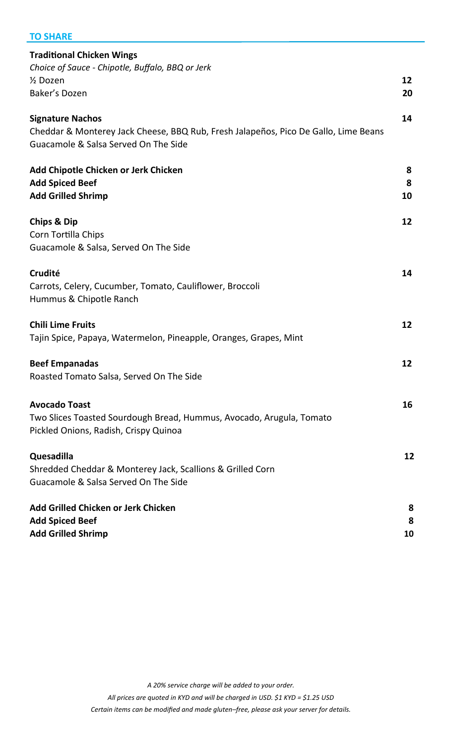## **TO SHARE**

| <b>Traditional Chicken Wings</b>                                                                              |    |
|---------------------------------------------------------------------------------------------------------------|----|
| Choice of Sauce - Chipotle, Buffalo, BBQ or Jerk                                                              |    |
| 1/ <sub>2</sub> Dozen                                                                                         | 12 |
| Baker's Dozen                                                                                                 | 20 |
|                                                                                                               |    |
| <b>Signature Nachos</b>                                                                                       | 14 |
| Cheddar & Monterey Jack Cheese, BBQ Rub, Fresh Jalapeños, Pico De Gallo, Lime Beans                           |    |
| Guacamole & Salsa Served On The Side                                                                          |    |
| Add Chipotle Chicken or Jerk Chicken                                                                          | 8  |
| <b>Add Spiced Beef</b>                                                                                        | 8  |
| <b>Add Grilled Shrimp</b>                                                                                     | 10 |
|                                                                                                               |    |
| <b>Chips &amp; Dip</b>                                                                                        | 12 |
| Corn Tortilla Chips                                                                                           |    |
| Guacamole & Salsa, Served On The Side                                                                         |    |
|                                                                                                               |    |
| Crudité                                                                                                       | 14 |
| Carrots, Celery, Cucumber, Tomato, Cauliflower, Broccoli                                                      |    |
| Hummus & Chipotle Ranch                                                                                       |    |
|                                                                                                               |    |
| <b>Chili Lime Fruits</b>                                                                                      | 12 |
| Tajin Spice, Papaya, Watermelon, Pineapple, Oranges, Grapes, Mint                                             |    |
|                                                                                                               |    |
| <b>Beef Empanadas</b>                                                                                         | 12 |
| Roasted Tomato Salsa, Served On The Side                                                                      |    |
| <b>Avocado Toast</b>                                                                                          | 16 |
|                                                                                                               |    |
| Two Slices Toasted Sourdough Bread, Hummus, Avocado, Arugula, Tomato<br>Pickled Onions, Radish, Crispy Quinoa |    |
|                                                                                                               |    |
| Quesadilla                                                                                                    | 12 |
| Shredded Cheddar & Monterey Jack, Scallions & Grilled Corn                                                    |    |
| Guacamole & Salsa Served On The Side                                                                          |    |
|                                                                                                               |    |
| Add Grilled Chicken or Jerk Chicken                                                                           | 8  |
| <b>Add Spiced Beef</b>                                                                                        | 8  |
| <b>Add Grilled Shrimp</b>                                                                                     | 10 |
|                                                                                                               |    |

*A 20% service charge will be added to your order.* 

*All prices are quoted in KYD and will be charged in USD. \$1 KYD = \$1.25 USD*

*Certain items can be modified and made gluten–free, please ask your server for details.*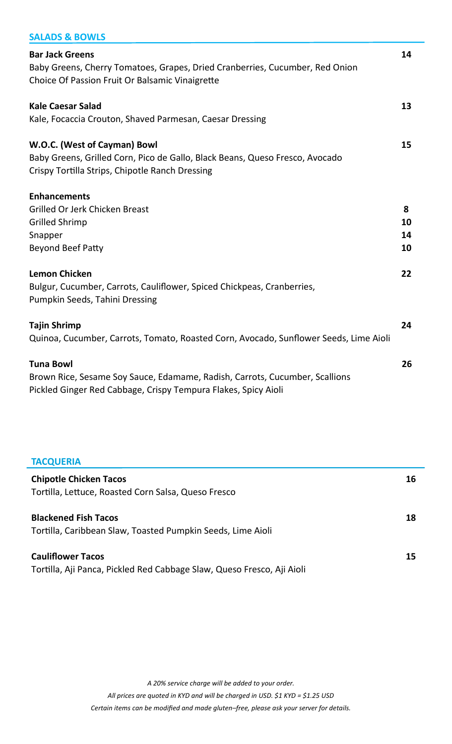| <b>SALADS &amp; BOWLS</b>                                                                              |    |
|--------------------------------------------------------------------------------------------------------|----|
| <b>Bar Jack Greens</b><br>Baby Greens, Cherry Tomatoes, Grapes, Dried Cranberries, Cucumber, Red Onion | 14 |
| Choice Of Passion Fruit Or Balsamic Vinaigrette                                                        |    |
| <b>Kale Caesar Salad</b>                                                                               | 13 |
| Kale, Focaccia Crouton, Shaved Parmesan, Caesar Dressing                                               |    |
| W.O.C. (West of Cayman) Bowl                                                                           | 15 |
| Baby Greens, Grilled Corn, Pico de Gallo, Black Beans, Queso Fresco, Avocado                           |    |
| Crispy Tortilla Strips, Chipotle Ranch Dressing                                                        |    |
| <b>Enhancements</b>                                                                                    |    |
| Grilled Or Jerk Chicken Breast                                                                         | 8  |
| <b>Grilled Shrimp</b>                                                                                  | 10 |
| Snapper                                                                                                | 14 |
| <b>Beyond Beef Patty</b>                                                                               | 10 |
| <b>Lemon Chicken</b>                                                                                   | 22 |
| Bulgur, Cucumber, Carrots, Cauliflower, Spiced Chickpeas, Cranberries,                                 |    |
| Pumpkin Seeds, Tahini Dressing                                                                         |    |
| <b>Tajin Shrimp</b>                                                                                    | 24 |
| Quinoa, Cucumber, Carrots, Tomato, Roasted Corn, Avocado, Sunflower Seeds, Lime Aioli                  |    |
| <b>Tuna Bowl</b>                                                                                       | 26 |
| Brown Rice, Sesame Soy Sauce, Edamame, Radish, Carrots, Cucumber, Scallions                            |    |
| Pickled Ginger Red Cabbage, Crispy Tempura Flakes, Spicy Aioli                                         |    |

## **TACQUERIA Chipotle Chicken Tacos 16** Tortilla, Lettuce, Roasted Corn Salsa, Queso Fresco **Blackened Fish Tacos 18** Tortilla, Caribbean Slaw, Toasted Pumpkin Seeds, Lime Aioli **Cauliflower Tacos 15** Tortilla, Aji Panca, Pickled Red Cabbage Slaw, Queso Fresco, Aji Aioli